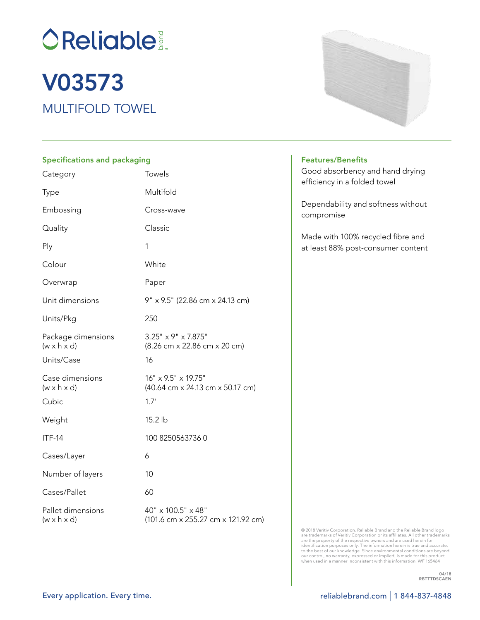**OReliable:** 

# MULTIFOLD TOWEL V03573

### Specifications and packaging

| Category                                      | Towels                                                          |
|-----------------------------------------------|-----------------------------------------------------------------|
| <b>Type</b>                                   | Multifold                                                       |
| Embossing                                     | Cross-wave                                                      |
| Quality                                       | Classic                                                         |
| Ply                                           | 1                                                               |
| Colour                                        | White                                                           |
| Overwrap                                      | Paper                                                           |
| Unit dimensions                               | 9" x 9.5" (22.86 cm x 24.13 cm)                                 |
| Units/Pkg                                     | 250                                                             |
| Package dimensions<br>$(w \times h \times d)$ | $3.25" \times 9" \times 7.875"$<br>(8.26 cm x 22.86 cm x 20 cm) |
| Units/Case                                    | 16                                                              |
| Case dimensions<br>$(w \times h \times d)$    | 16" x 9.5" x 19.75"<br>(40.64 cm x 24.13 cm x 50.17 cm)         |
| Cubic                                         | 1.7'                                                            |
| Weight                                        | 15.2 lb                                                         |
| <b>ITF-14</b>                                 | 100 82505637360                                                 |
| Cases/Layer                                   | 6                                                               |
| Number of layers                              | 10                                                              |
| Cases/Pallet                                  | 60                                                              |
| Pallet dimensions<br>$(w \times h \times d)$  | 40" x 100.5" x 48"<br>(101.6 cm x 255.27 cm x 121.92 cm)        |



#### Features/Benefits

Good absorbency and hand drying efficiency in a folded towel

Dependability and softness without compromise

Made with 100% recycled fibre and at least 88% post-consumer content

© 2018 Veritiv Corporation. Reliable Brand and the Reliable Brand logo<br>are trademarks of Veritiv Corporation or its affiliates. All other trademarks<br>are the property of the respective owners and are used herein for<br>identif to the best of our knowledge. Since environmental conditions are beyond<br>our control, no warranty, expressed or implied, is made for this product<br>when used in a manner inconsistent with this information. WF 165464

> 04/18 RBTTTDSCAEN